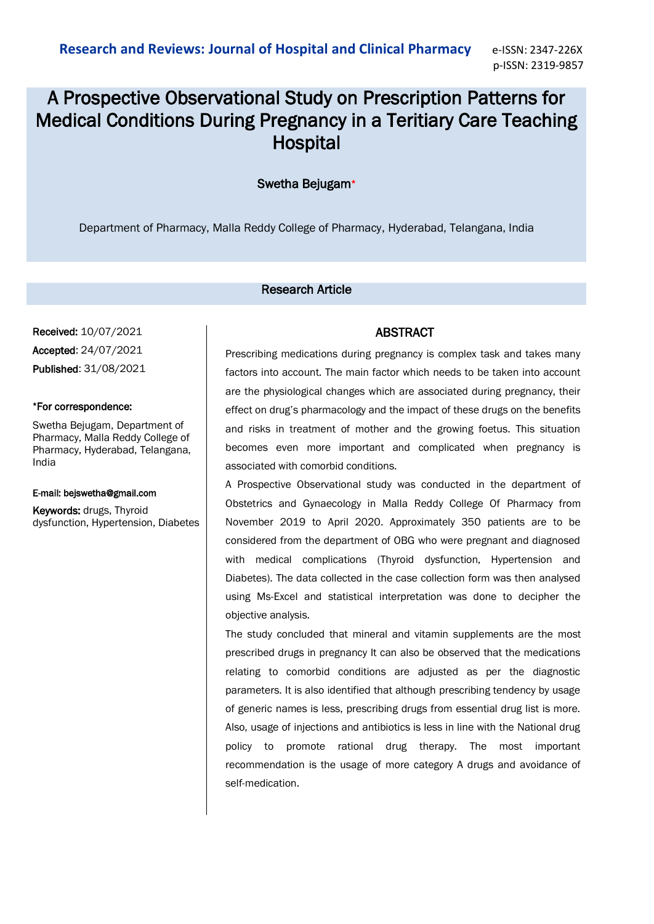# A Prospective Observational Study on Prescription Patterns for Medical Conditions During Pregnancy in a Teritiary Care Teaching **Hospital**

# Swetha Bejugam\*

Department of Pharmacy, Malla Reddy College of Pharmacy, Hyderabad, Telangana, India

#### Research Article

Received: 10/07/2021 Accepted: 24/07/2021 Published: 31/08/2021

#### \*For correspondence:

Swetha Bejugam, Department of Pharmacy, Malla Reddy College of Pharmacy, Hyderabad, Telangana, India

#### E-mail: bejswetha@gmail.com

Keywords: drugs, Thyroid dysfunction, Hypertension, Diabetes

## ABSTRACT

Prescribing medications during pregnancy is complex task and takes many factors into account. The main factor which needs to be taken into account are the physiological changes which are associated during pregnancy, their effect on drug's pharmacology and the impact of these drugs on the benefits and risks in treatment of mother and the growing foetus. This situation becomes even more important and complicated when pregnancy is associated with comorbid conditions.

A Prospective Observational study was conducted in the department of Obstetrics and Gynaecology in Malla Reddy College Of Pharmacy from November 2019 to April 2020. Approximately 350 patients are to be considered from the department of OBG who were pregnant and diagnosed with medical complications (Thyroid dysfunction, Hypertension and Diabetes). The data collected in the case collection form was then analysed using Ms-Excel and statistical interpretation was done to decipher the objective analysis.

The study concluded that mineral and vitamin supplements are the most prescribed drugs in pregnancy It can also be observed that the medications relating to comorbid conditions are adjusted as per the diagnostic parameters. It is also identified that although prescribing tendency by usage of generic names is less, prescribing drugs from essential drug list is more. Also, usage of injections and antibiotics is less in line with the National drug policy to promote rational drug therapy. The most important recommendation is the usage of more category A drugs and avoidance of self-medication.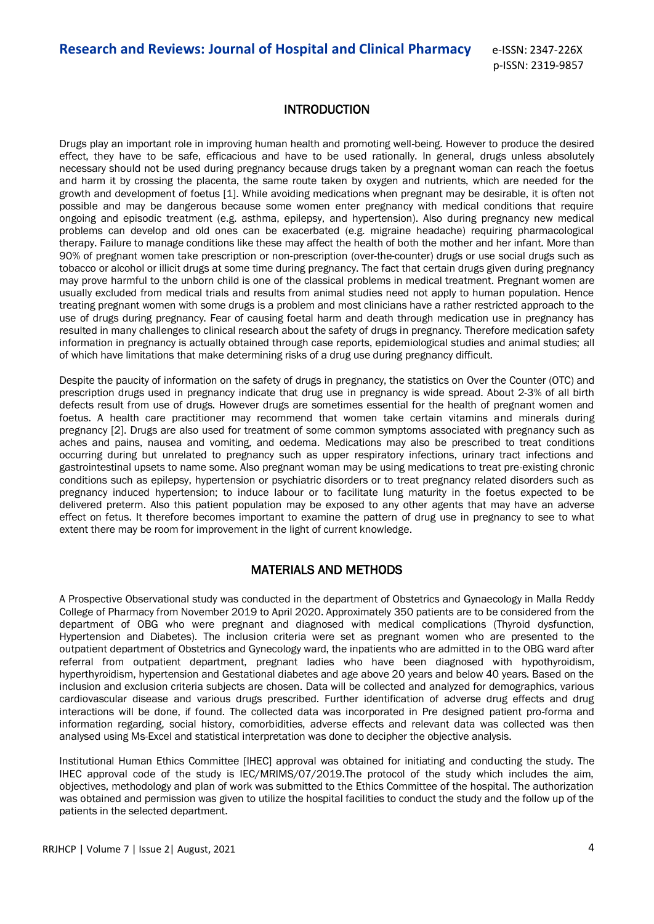# INTRODUCTION

Drugs play an important role in improving human health and promoting well-being. However to produce the desired effect, they have to be safe, efficacious and have to be used rationally. In general, drugs unless absolutely necessary should not be used during pregnancy because drugs taken by a pregnant woman can reach the foetus and harm it by crossing the placenta, the same route taken by oxygen and nutrients, which are needed for the growth and development of foetus [1]. While avoiding medications when pregnant may be desirable, it is often not possible and may be dangerous because some women enter pregnancy with medical conditions that require ongoing and episodic treatment (e.g. asthma, epilepsy, and hypertension). Also during pregnancy new medical problems can develop and old ones can be exacerbated (e.g. migraine headache) requiring pharmacological therapy. Failure to manage conditions like these may affect the health of both the mother and her infant. More than 90% of pregnant women take prescription or non-prescription (over-the-counter) drugs or use social drugs such as tobacco or alcohol or illicit drugs at some time during pregnancy. The fact that certain drugs given during pregnancy may prove harmful to the unborn child is one of the classical problems in medical treatment. Pregnant women are usually excluded from medical trials and results from animal studies need not apply to human population. Hence treating pregnant women with some drugs is a problem and most clinicians have a rather restricted approach to the use of drugs during pregnancy. Fear of causing foetal harm and death through medication use in pregnancy has resulted in many challenges to clinical research about the safety of drugs in pregnancy. Therefore medication safety information in pregnancy is actually obtained through case reports, epidemiological studies and animal studies; all of which have limitations that make determining risks of a drug use during pregnancy difficult.

Despite the paucity of information on the safety of drugs in pregnancy, the statistics on Over the Counter (OTC) and prescription drugs used in pregnancy indicate that drug use in pregnancy is wide spread. About 2-3% of all birth defects result from use of drugs. However drugs are sometimes essential for the health of pregnant women and foetus. A health care practitioner may recommend that women take certain vitamins and minerals during pregnancy [2]. Drugs are also used for treatment of some common symptoms associated with pregnancy such as aches and pains, nausea and vomiting, and oedema. Medications may also be prescribed to treat conditions occurring during but unrelated to pregnancy such as upper respiratory infections, urinary tract infections and gastrointestinal upsets to name some. Also pregnant woman may be using medications to treat pre-existing chronic conditions such as epilepsy, hypertension or psychiatric disorders or to treat pregnancy related disorders such as pregnancy induced hypertension; to induce labour or to facilitate lung maturity in the foetus expected to be delivered preterm. Also this patient population may be exposed to any other agents that may have an adverse effect on fetus. It therefore becomes important to examine the pattern of drug use in pregnancy to see to what extent there may be room for improvement in the light of current knowledge.

# MATERIALS AND METHODS

A Prospective Observational study was conducted in the department of Obstetrics and Gynaecology in Malla Reddy College of Pharmacy from November 2019 to April 2020. Approximately 350 patients are to be considered from the department of OBG who were pregnant and diagnosed with medical complications (Thyroid dysfunction, Hypertension and Diabetes). The inclusion criteria were set as pregnant women who are presented to the outpatient department of Obstetrics and Gynecology ward, the inpatients who are admitted in to the OBG ward after referral from outpatient department, pregnant ladies who have been diagnosed with hypothyroidism, hyperthyroidism, hypertension and Gestational diabetes and age above 20 years and below 40 years. Based on the inclusion and exclusion criteria subjects are chosen. Data will be collected and analyzed for demographics, various cardiovascular disease and various drugs prescribed. Further identification of adverse drug effects and drug interactions will be done, if found. The collected data was incorporated in Pre designed patient pro-forma and information regarding, social history, comorbidities, adverse effects and relevant data was collected was then analysed using Ms-Excel and statistical interpretation was done to decipher the objective analysis.

Institutional Human Ethics Committee [IHEC] approval was obtained for initiating and conducting the study. The IHEC approval code of the study is IEC/MRIMS/07/2019.The protocol of the study which includes the aim, objectives, methodology and plan of work was submitted to the Ethics Committee of the hospital. The authorization was obtained and permission was given to utilize the hospital facilities to conduct the study and the follow up of the patients in the selected department.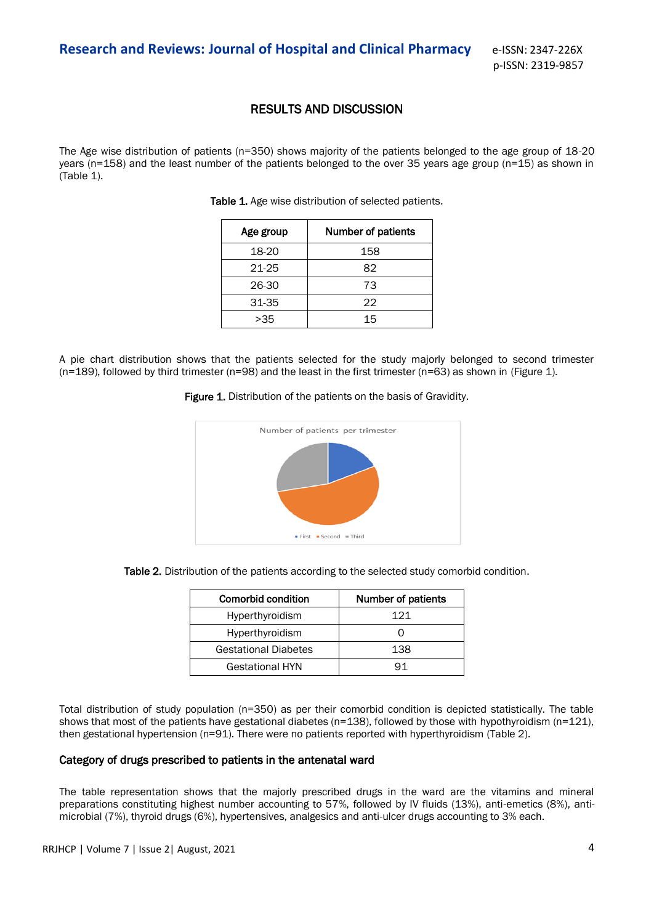## RESULTS AND DISCUSSION

The Age wise distribution of patients (n=350) shows majority of the patients belonged to the age group of 18-20 years (n=158) and the least number of the patients belonged to the over 35 years age group (n=15) as shown in (Table 1).

Table 1. Age wise distribution of selected patients.

| Age group | Number of patients |
|-----------|--------------------|
| 18-20     | 158                |
| 21-25     | 82                 |
| 26-30     | 73                 |
| 31-35     | 22                 |
| > 35      | 15                 |

A pie chart distribution shows that the patients selected for the study majorly belonged to second trimester (n=189), followed by third trimester (n=98) and the least in the first trimester (n=63) as shown in (Figure 1).

Figure 1. Distribution of the patients on the basis of Gravidity.



Table 2. Distribution of the patients according to the selected study comorbid condition.

| Comorbid condition          | Number of patients |
|-----------------------------|--------------------|
| Hyperthyroidism             | 121                |
| Hyperthyroidism             |                    |
| <b>Gestational Diabetes</b> | 138                |
| <b>Gestational HYN</b>      |                    |

Total distribution of study population (n=350) as per their comorbid condition is depicted statistically. The table shows that most of the patients have gestational diabetes ( $n=138$ ), followed by those with hypothyroidism ( $n=121$ ), then gestational hypertension (n=91). There were no patients reported with hyperthyroidism (Table 2).

#### Category of drugs prescribed to patients in the antenatal ward

The table representation shows that the majorly prescribed drugs in the ward are the vitamins and mineral preparations constituting highest number accounting to 57%, followed by IV fluids (13%), anti-emetics (8%), antimicrobial (7%), thyroid drugs (6%), hypertensives, analgesics and anti-ulcer drugs accounting to 3% each.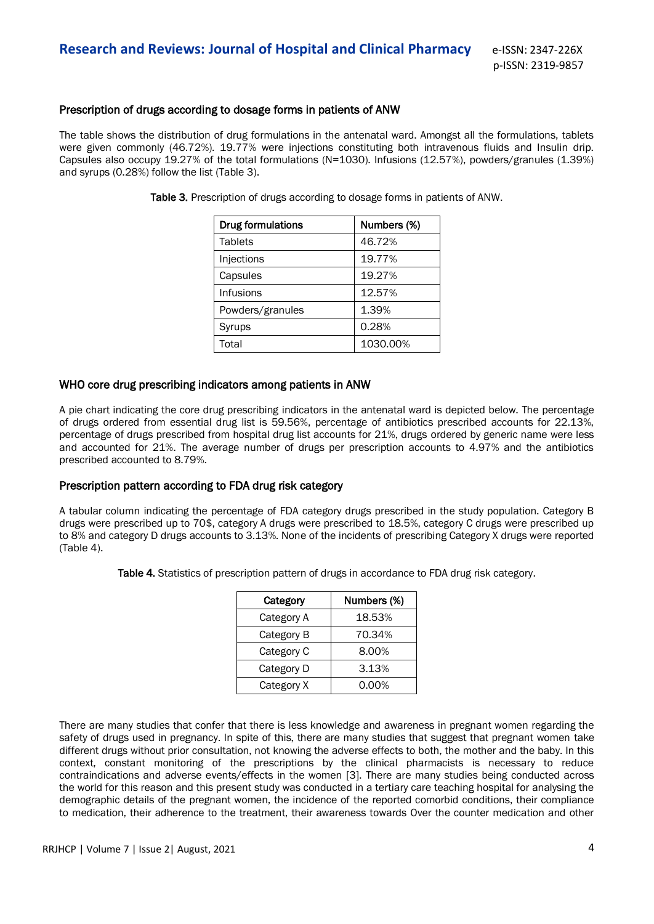#### Prescription of drugs according to dosage forms in patients of ANW

The table shows the distribution of drug formulations in the antenatal ward. Amongst all the formulations, tablets were given commonly (46.72%). 19.77% were injections constituting both intravenous fluids and Insulin drip. Capsules also occupy 19.27% of the total formulations (N=1030). Infusions (12.57%), powders/granules (1.39%) and syrups (0.28%) follow the list (Table 3).

| <b>Drug formulations</b> | Numbers (%) |
|--------------------------|-------------|
| Tablets                  | 46.72%      |
| Injections               | 19.77%      |
| Capsules                 | 19.27%      |
| <b>Infusions</b>         | 12.57%      |
| Powders/granules         | 1.39%       |
| Syrups                   | 0.28%       |
| Total                    | 1030.00%    |

Table 3. Prescription of drugs according to dosage forms in patients of ANW.

#### WHO core drug prescribing indicators among patients in ANW

A pie chart indicating the core drug prescribing indicators in the antenatal ward is depicted below. The percentage of drugs ordered from essential drug list is 59.56%, percentage of antibiotics prescribed accounts for 22.13%, percentage of drugs prescribed from hospital drug list accounts for 21%, drugs ordered by generic name were less and accounted for 21%. The average number of drugs per prescription accounts to 4.97% and the antibiotics prescribed accounted to 8.79%.

#### Prescription pattern according to FDA drug risk category

A tabular column indicating the percentage of FDA category drugs prescribed in the study population. Category B drugs were prescribed up to 70\$, category A drugs were prescribed to 18.5%, category C drugs were prescribed up to 8% and category D drugs accounts to 3.13%. None of the incidents of prescribing Category X drugs were reported (Table 4).

Table 4. Statistics of prescription pattern of drugs in accordance to FDA drug risk category.

| Category   | Numbers (%) |
|------------|-------------|
| Category A | 18.53%      |
| Category B | 70.34%      |
| Category C | 8.00%       |
| Category D | 3.13%       |
| Category X | 0.00%       |

There are many studies that confer that there is less knowledge and awareness in pregnant women regarding the safety of drugs used in pregnancy. In spite of this, there are many studies that suggest that pregnant women take different drugs without prior consultation, not knowing the adverse effects to both, the mother and the baby. In this context, constant monitoring of the prescriptions by the clinical pharmacists is necessary to reduce contraindications and adverse events/effects in the women [3]. There are many studies being conducted across the world for this reason and this present study was conducted in a tertiary care teaching hospital for analysing the demographic details of the pregnant women, the incidence of the reported comorbid conditions, their compliance to medication, their adherence to the treatment, their awareness towards Over the counter medication and other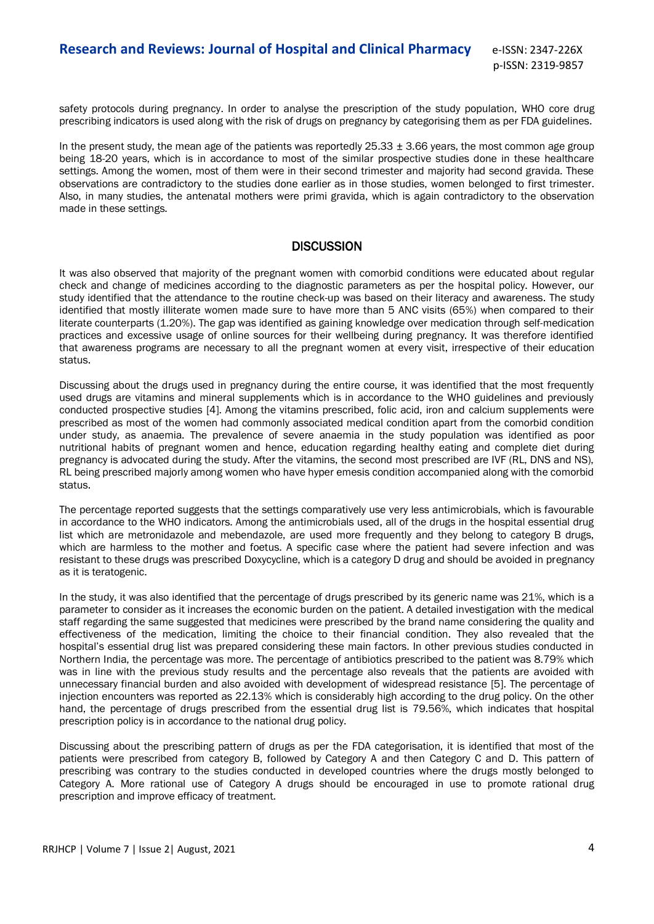safety protocols during pregnancy. In order to analyse the prescription of the study population, WHO core drug prescribing indicators is used along with the risk of drugs on pregnancy by categorising them as per FDA guidelines.

In the present study, the mean age of the patients was reportedly  $25.33 \pm 3.66$  years, the most common age group being 18-20 years, which is in accordance to most of the similar prospective studies done in these healthcare settings. Among the women, most of them were in their second trimester and majority had second gravida. These observations are contradictory to the studies done earlier as in those studies, women belonged to first trimester. Also, in many studies, the antenatal mothers were primi gravida, which is again contradictory to the observation made in these settings.

# **DISCUSSION**

It was also observed that majority of the pregnant women with comorbid conditions were educated about regular check and change of medicines according to the diagnostic parameters as per the hospital policy. However, our study identified that the attendance to the routine check-up was based on their literacy and awareness. The study identified that mostly illiterate women made sure to have more than 5 ANC visits (65%) when compared to their literate counterparts (1.20%). The gap was identified as gaining knowledge over medication through self-medication practices and excessive usage of online sources for their wellbeing during pregnancy. It was therefore identified that awareness programs are necessary to all the pregnant women at every visit, irrespective of their education status.

Discussing about the drugs used in pregnancy during the entire course, it was identified that the most frequently used drugs are vitamins and mineral supplements which is in accordance to the WHO guidelines and previously conducted prospective studies [4]. Among the vitamins prescribed, folic acid, iron and calcium supplements were prescribed as most of the women had commonly associated medical condition apart from the comorbid condition under study, as anaemia. The prevalence of severe anaemia in the study population was identified as poor nutritional habits of pregnant women and hence, education regarding healthy eating and complete diet during pregnancy is advocated during the study. After the vitamins, the second most prescribed are IVF (RL, DNS and NS), RL being prescribed majorly among women who have hyper emesis condition accompanied along with the comorbid status.

The percentage reported suggests that the settings comparatively use very less antimicrobials, which is favourable in accordance to the WHO indicators. Among the antimicrobials used, all of the drugs in the hospital essential drug list which are metronidazole and mebendazole, are used more frequently and they belong to category B drugs, which are harmless to the mother and foetus. A specific case where the patient had severe infection and was resistant to these drugs was prescribed Doxycycline, which is a category D drug and should be avoided in pregnancy as it is teratogenic.

In the study, it was also identified that the percentage of drugs prescribed by its generic name was 21%, which is a parameter to consider as it increases the economic burden on the patient. A detailed investigation with the medical staff regarding the same suggested that medicines were prescribed by the brand name considering the quality and effectiveness of the medication, limiting the choice to their financial condition. They also revealed that the hospital's essential drug list was prepared considering these main factors. In other previous studies conducted in Northern India, the percentage was more. The percentage of antibiotics prescribed to the patient was 8.79% which was in line with the previous study results and the percentage also reveals that the patients are avoided with unnecessary financial burden and also avoided with development of widespread resistance [5]. The percentage of injection encounters was reported as 22.13% which is considerably high according to the drug policy. On the other hand, the percentage of drugs prescribed from the essential drug list is 79.56%, which indicates that hospital prescription policy is in accordance to the national drug policy.

Discussing about the prescribing pattern of drugs as per the FDA categorisation, it is identified that most of the patients were prescribed from category B, followed by Category A and then Category C and D. This pattern of prescribing was contrary to the studies conducted in developed countries where the drugs mostly belonged to Category A. More rational use of Category A drugs should be encouraged in use to promote rational drug prescription and improve efficacy of treatment.